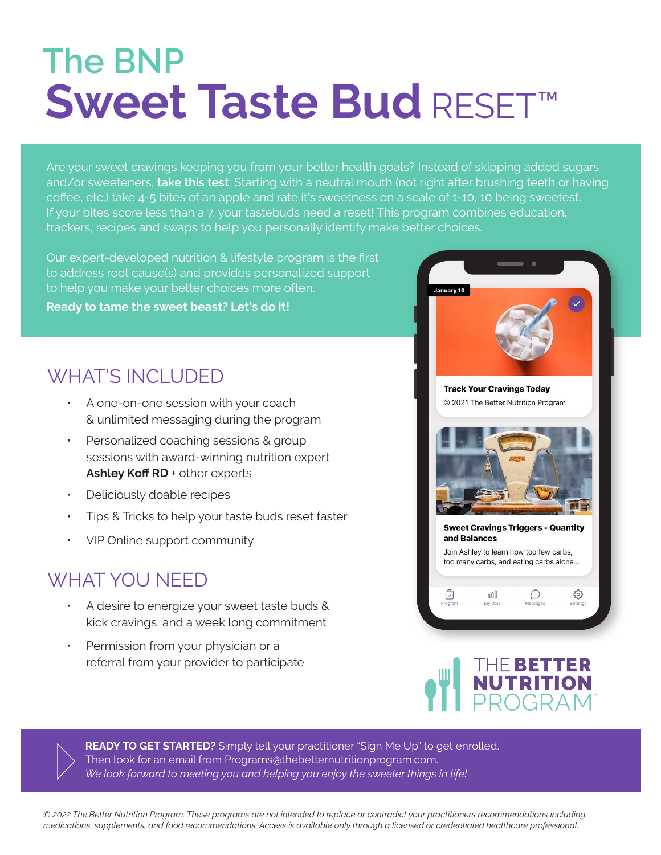## Sweet Taste Bud RESET™ **The BNP**

Are your sweet cravings keeping you from your better health goals? Instead of skipping added sugars and/or sweeteners, **take this test**: Starting with a neutral mouth (not right after brushing teeth or having coffee, etc.) take 4-5 bites of an apple and rate it's sweetness on a scale of 1-10, 10 being sweetest. If your bites score less than a 7, your tastebuds need a reset! This program combines education, trackers, recipes and swaps to help you personally identify make better choices.

Our expert-developed nutrition & lifestyle program is the first to address root cause(s) and provides personalized support to help you make your better choices more often.

Ready to tame the sweet beast? Let's do it!

## **WHAT'S INCLUDED**

- A one-on-one session with your coach & unlimited messaging during the program
- Personalized coaching sessions & group sessions with award-winning nutrition expert Ashley Koff RD + other experts
- Deliciously doable recipes
- ƽ Tips & Tricks to help your taste buds reset faster
- ƽ VIP Online support community

## WHAT YOU NFFD

- A desire to energize your sweet taste buds & kick cravings, and a week long commitment
- Permission from your physician or a referral from your provider to participate





**READY TO GET STARTED?** Simply tell your practitioner "Sign Me Up" to get enrolled. Then look for an email from Programs@thebetternutritionprogram.com. *We look forward to meeting you and helping you enjoy the sweeter things in life!* 

*© 2022 The Better Nutrition Program. These programs are not intended to replace or contradict your practitioners recommendations including medications, supplements, and food recommendations. Access is available only through a licensed or credentialed healthcare professional.*